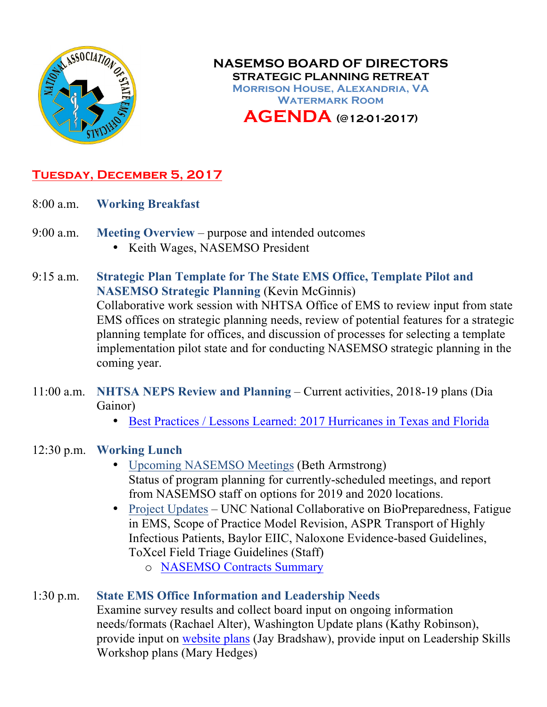

**NASEMSO BOARD OF DIRECTORS STRATEGIC PLANNING RETREAT Morrison House, Alexandria, VA Watermark Room AGENDA (@12-01-2017)**

# **Tuesday, December 5, 2017**

- 8:00 a.m. **Working Breakfast**
- 9:00 a.m. **Meeting Overview** purpose and intended outcomes
	- Keith Wages, NASEMSO President
- 9:15 a.m. **Strategic Plan Template for The State EMS Office, Template Pilot and NASEMSO Strategic Planning** (Kevin McGinnis) Collaborative work session with NHTSA Office of EMS to review input from state EMS offices on strategic planning needs, review of potential features for a strategic planning template for offices, and discussion of processes for selecting a template implementation pilot state and for conducting NASEMSO strategic planning in the coming year.
- 11:00 a.m. **NHTSA NEPS Review and Planning** Current activities, 2018-19 plans (Dia Gainor)
	- [Best Practices / Lessons Learned: 2017 Hurricanes](https://www.nasemso.org/Members/Board/documents/NASEMSO-2017-Hurricanes-AAR-Lessons-Learned-EBA-edits.pdf) in Texas and Florida
- 12:30 p.m. **Working Lunch**
	- Upcoming NASEMSO Meetings (Beth Armstrong) Status of program planning for currently-scheduled meetings, and report from NASEMSO staff on options for 2019 and 2020 locations.
	- Project Updates UNC National Collaborative on BioPreparedness, Fatigue in EMS, Scope of Practice Model Revision, ASPR Transport of Highly Infectious Patients, Baylor EIIC, Naloxone Evidence-based Guidelines, ToXcel Field Triage Guidelines (Staff)
		- o [NASEMSO Contracts Summary](https://www.nasemso.org/Members/Board/documents/NASEMSO-Contracts-01-Dec-2017.pdf)

### 1:30 p.m. **State EMS Office Information and Leadership Needs**

Examine survey results and collect board input on ongoing information needs/formats (Rachael Alter), Washington Update plans (Kathy Robinson), provide input on [website plans](https://www.nasemso.org/Members/Board/documents/sitemap-v1.1.pdf) (Jay Bradshaw), provide input on Leadership Skills Workshop plans (Mary Hedges)